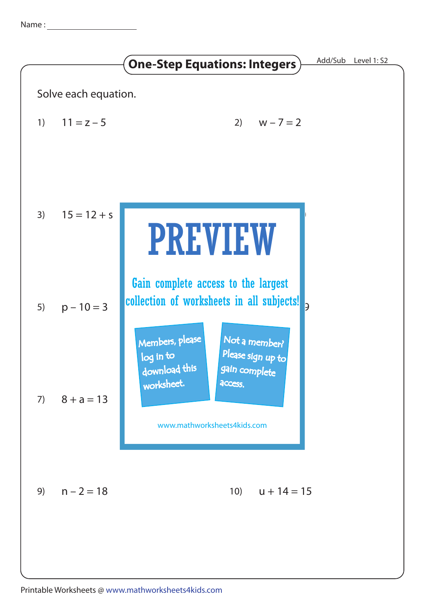